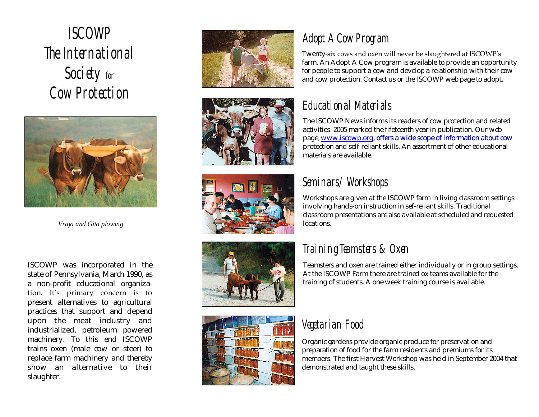# ISCOWP The International Society for Cow Protection



*Vraja and Gita plowing*

ISCOWP was incorporated in the state of Pennsylvania, March 1990, as a non -profit educational organiza tion. It's primary concern is to present alternatives to agricultural practices that support and depend upon the meat industry and industrialized, petroleum powered machinery. To this end ISCOWP trains oxen (male cow or steer) to replace farm machinery and thereby show an alternative to their slaughter.











### Adopt A Cow Program

Twenty -six cows and oxen will never be slaughtered at ISCOWP's farm. An Adopt A Cow program is available to provide an opportunity for people to support a cow and develop a relationship with their cow and cow protection. Contact us or the ISCOWP web page to adopt.

### Educational Materials

The ISCOWP News informs its readers of cow protection and related activities. 2005 marked the fifeteenth year in publication. Our web page,<www.iscowp.org>, offers a wide scope of information about cow protection and self-reliant skills. An assortment of other educational materials are available.

#### Seminars/ Workshops

Workshops are given at the ISCOWP farm in living classroom settings involving hands -on instruction in sef-reliant skills. Traditional classroom presentations are also available at scheduled and requested locations.

#### Training Teamsters & Oxen

Teamsters and oxen are trained either individually or in group settings. At the ISCOWP Farm there are trained ox teams available for the training of students. A one week training course is available.

#### Vegetarian Food

Organic gardens provide organic produce for preservation and preparation of food for the farm residents and premiums for its members. The first Harvest Workshop was held in September 2004 that demonstrated and taught these skills.